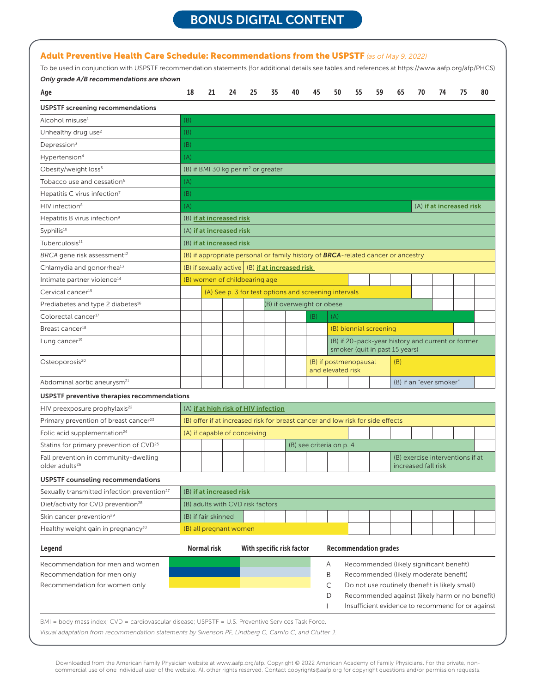# BONUS DIGITAL CONTENT

| To be used in conjunction with USPSTF recommendation statements (for additional details see tables and references at https://www.aafp.org/afp/PHCS) |                                                                                     |                          |    |                                      |                                      |                                                                                          |     |                                                   |    |                        |    |                                                                                   |    |                                                 |    |
|-----------------------------------------------------------------------------------------------------------------------------------------------------|-------------------------------------------------------------------------------------|--------------------------|----|--------------------------------------|--------------------------------------|------------------------------------------------------------------------------------------|-----|---------------------------------------------------|----|------------------------|----|-----------------------------------------------------------------------------------|----|-------------------------------------------------|----|
| Only grade A/B recommendations are shown                                                                                                            |                                                                                     |                          |    |                                      |                                      |                                                                                          |     |                                                   |    |                        |    |                                                                                   |    |                                                 |    |
| Age                                                                                                                                                 | 18                                                                                  | 21                       | 24 | 25                                   | 35                                   | 40                                                                                       | 45  | 50                                                | 55 | 59                     | 65 | 70                                                                                | 74 | 75                                              | 80 |
| USPSTF screening recommendations                                                                                                                    |                                                                                     |                          |    |                                      |                                      |                                                                                          |     |                                                   |    |                        |    |                                                                                   |    |                                                 |    |
| Alcohol misuse <sup>1</sup>                                                                                                                         | (B)                                                                                 |                          |    |                                      |                                      |                                                                                          |     |                                                   |    |                        |    |                                                                                   |    |                                                 |    |
| Unhealthy drug use <sup>2</sup>                                                                                                                     | (B)                                                                                 |                          |    |                                      |                                      |                                                                                          |     |                                                   |    |                        |    |                                                                                   |    |                                                 |    |
| Depression <sup>3</sup>                                                                                                                             | (B)                                                                                 |                          |    |                                      |                                      |                                                                                          |     |                                                   |    |                        |    |                                                                                   |    |                                                 |    |
| Hypertension <sup>4</sup>                                                                                                                           | (A)                                                                                 |                          |    |                                      |                                      |                                                                                          |     |                                                   |    |                        |    |                                                                                   |    |                                                 |    |
| Obesity/weight loss <sup>5</sup>                                                                                                                    |                                                                                     |                          |    | (B) if BMI 30 kg per $m2$ or greater |                                      |                                                                                          |     |                                                   |    |                        |    |                                                                                   |    |                                                 |    |
| Tobacco use and cessation <sup>6</sup>                                                                                                              | (A)                                                                                 |                          |    |                                      |                                      |                                                                                          |     |                                                   |    |                        |    |                                                                                   |    |                                                 |    |
| Hepatitis C virus infection $7$                                                                                                                     | (B)                                                                                 |                          |    |                                      |                                      |                                                                                          |     |                                                   |    |                        |    |                                                                                   |    |                                                 |    |
| HIV infection <sup>8</sup>                                                                                                                          | (A)                                                                                 |                          |    |                                      |                                      |                                                                                          |     |                                                   |    |                        |    |                                                                                   |    | (A) if at increased risk                        |    |
| Hepatitis B virus infection <sup>9</sup>                                                                                                            |                                                                                     | (B) if at increased risk |    |                                      |                                      |                                                                                          |     |                                                   |    |                        |    |                                                                                   |    |                                                 |    |
| Syphilis <sup>10</sup>                                                                                                                              |                                                                                     | (A) if at increased risk |    |                                      |                                      |                                                                                          |     |                                                   |    |                        |    |                                                                                   |    |                                                 |    |
| Tuberculosis <sup>11</sup>                                                                                                                          |                                                                                     | (B) if at increased risk |    |                                      |                                      |                                                                                          |     |                                                   |    |                        |    |                                                                                   |    |                                                 |    |
| BRCA gene risk assessment <sup>12</sup>                                                                                                             |                                                                                     |                          |    |                                      |                                      | (B) if appropriate personal or family history of <b>BRCA</b> -related cancer or ancestry |     |                                                   |    |                        |    |                                                                                   |    |                                                 |    |
| Chlamydia and gonorrhea <sup>13</sup>                                                                                                               |                                                                                     |                          |    |                                      |                                      | (B) if sexually active (B) if at increased risk                                          |     |                                                   |    |                        |    |                                                                                   |    |                                                 |    |
| Intimate partner violence <sup>14</sup>                                                                                                             |                                                                                     |                          |    | (B) women of childbearing age        |                                      |                                                                                          |     |                                                   |    |                        |    |                                                                                   |    |                                                 |    |
| Cervical cancer <sup>15</sup>                                                                                                                       |                                                                                     |                          |    |                                      |                                      | (A) See p. 3 for test options and screening intervals                                    |     |                                                   |    |                        |    |                                                                                   |    |                                                 |    |
| Prediabetes and type 2 diabetes <sup>16</sup>                                                                                                       |                                                                                     |                          |    |                                      |                                      | (B) if overweight or obese                                                               |     |                                                   |    |                        |    |                                                                                   |    |                                                 |    |
| Colorectal cancer <sup>17</sup>                                                                                                                     |                                                                                     |                          |    |                                      |                                      |                                                                                          | (B) | (A)                                               |    |                        |    |                                                                                   |    |                                                 |    |
| Breast cancer <sup>18</sup>                                                                                                                         |                                                                                     |                          |    |                                      |                                      |                                                                                          |     |                                                   |    | (B) biennial screening |    |                                                                                   |    |                                                 |    |
| Lung cancer <sup>19</sup>                                                                                                                           | (B) if 20-pack-year history and current or former<br>smoker (quit in past 15 years) |                          |    |                                      |                                      |                                                                                          |     |                                                   |    |                        |    |                                                                                   |    |                                                 |    |
| Osteoporosis <sup>20</sup>                                                                                                                          |                                                                                     |                          |    |                                      |                                      |                                                                                          |     | (B) if postmenopausal<br>(B)<br>and elevated risk |    |                        |    |                                                                                   |    |                                                 |    |
| Abdominal aortic aneurysm <sup>21</sup>                                                                                                             |                                                                                     |                          |    |                                      |                                      |                                                                                          |     |                                                   |    |                        |    | (B) if an "ever smoker"                                                           |    |                                                 |    |
| USPSTF preventive therapies recommendations                                                                                                         |                                                                                     |                          |    |                                      |                                      |                                                                                          |     |                                                   |    |                        |    |                                                                                   |    |                                                 |    |
| HIV preexposure prophylaxis <sup>22</sup>                                                                                                           |                                                                                     |                          |    |                                      | (A) if at high risk of HIV infection |                                                                                          |     |                                                   |    |                        |    |                                                                                   |    |                                                 |    |
| Primary prevention of breast cancer <sup>23</sup>                                                                                                   |                                                                                     |                          |    |                                      |                                      | (B) offer if at increased risk for breast cancer and low risk for side effects           |     |                                                   |    |                        |    |                                                                                   |    |                                                 |    |
| Folic acid supplementation <sup>24</sup>                                                                                                            |                                                                                     |                          |    | (A) if capable of conceiving         |                                      |                                                                                          |     |                                                   |    |                        |    |                                                                                   |    |                                                 |    |
| Statins for primary prevention of CVD <sup>25</sup>                                                                                                 |                                                                                     |                          |    |                                      |                                      |                                                                                          |     | (B) see criteria on p. 4                          |    |                        |    |                                                                                   |    |                                                 |    |
| Fall prevention in community-dwelling<br>older adults <sup>26</sup>                                                                                 |                                                                                     |                          |    |                                      |                                      |                                                                                          |     |                                                   |    |                        |    | (B) exercise interventions if at<br>increased fall risk                           |    |                                                 |    |
| USPSTF counseling recommendations                                                                                                                   |                                                                                     |                          |    |                                      |                                      |                                                                                          |     |                                                   |    |                        |    |                                                                                   |    |                                                 |    |
| Sexually transmitted infection prevention <sup>27</sup>                                                                                             |                                                                                     | (B) if at increased risk |    |                                      |                                      |                                                                                          |     |                                                   |    |                        |    |                                                                                   |    |                                                 |    |
| Diet/activity for CVD prevention <sup>28</sup>                                                                                                      |                                                                                     |                          |    | (B) adults with CVD risk factors     |                                      |                                                                                          |     |                                                   |    |                        |    |                                                                                   |    |                                                 |    |
| Skin cancer prevention <sup>29</sup>                                                                                                                |                                                                                     | (B) if fair skinned      |    |                                      |                                      |                                                                                          |     |                                                   |    |                        |    |                                                                                   |    |                                                 |    |
| Healthy weight gain in pregnancy <sup>30</sup>                                                                                                      |                                                                                     | (B) all pregnant women   |    |                                      |                                      |                                                                                          |     |                                                   |    |                        |    |                                                                                   |    |                                                 |    |
| Legend                                                                                                                                              |                                                                                     | Normal risk              |    |                                      |                                      | With specific risk factor                                                                |     | <b>Recommendation grades</b>                      |    |                        |    |                                                                                   |    |                                                 |    |
| Recommendation for men and women                                                                                                                    |                                                                                     |                          |    |                                      |                                      |                                                                                          |     |                                                   |    |                        |    |                                                                                   |    |                                                 |    |
| Recommendation for men only                                                                                                                         |                                                                                     |                          |    |                                      |                                      |                                                                                          |     | A<br>B                                            |    |                        |    | Recommended (likely significant benefit)<br>Recommended (likely moderate benefit) |    |                                                 |    |
| Recommendation for women only                                                                                                                       |                                                                                     |                          |    |                                      |                                      |                                                                                          |     | С                                                 |    |                        |    | Do not use routinely (benefit is likely small)                                    |    |                                                 |    |
|                                                                                                                                                     |                                                                                     |                          |    |                                      |                                      |                                                                                          |     |                                                   |    |                        |    |                                                                                   |    | Recommended against (likely harm or no benefit) |    |

BMI = body mass index; CVD = cardiovascular disease; USPSTF = U.S. Preventive Services Task Force. *Visual adaptation from recommendation statements by Swenson PF, Lindberg C, Carrilo C, and Clutter J.*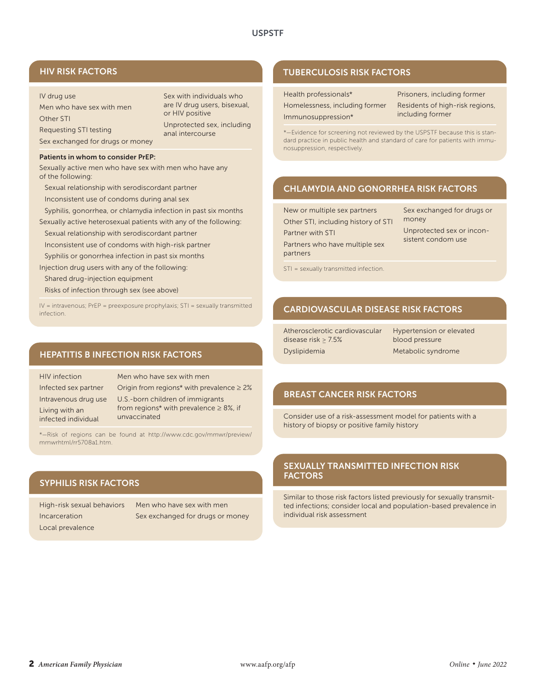# HIV RISK FACTORS

# IV drug use

Men who have sex with men Other STI Requesting STI testing Sex exchanged for drugs or money Sex with individuals who are IV drug users, bisexual, or HIV positive Unprotected sex, including anal intercourse

#### Patients in whom to consider PrEP:

Sexually active men who have sex with men who have any of the following:

Sexual relationship with serodiscordant partner

Inconsistent use of condoms during anal sex

Syphilis, gonorrhea, or chlamydia infection in past six months

Sexually active heterosexual patients with any of the following:

Sexual relationship with serodiscordant partner Inconsistent use of condoms with high-risk partner

Syphilis or gonorrhea infection in past six months

Injection drug users with any of the following:

Shared drug-injection equipment

Risks of infection through sex (see above)

 $IV =$  intravenous; PrEP = preexposure prophylaxis; STI = sexually transmitted infection.

# HEPATITIS B INFECTION RISK FACTORS

HIV infection Infected sex partner Intravenous drug use Living with an infected individual

Men who have sex with men Origin from regions\* with prevalence  $\geq 2\%$ U.S.-born children of immigrants from regions\* with prevalence  $\geq 8\%$ , if unvaccinated

\*—Risk of regions can be found at http://www.cdc.gov/mmwr/preview/ mmwrhtml/rr5708a1.htm.

# SYPHILIS RISK FACTORS

High-risk sexual behaviors Incarceration Local prevalence

Men who have sex with men Sex exchanged for drugs or money

# TUBERCULOSIS RISK FACTORS

| Health professionals*          |
|--------------------------------|
| Homelessness, including former |
| Immunosuppression*             |

Prisoners, including former Residents of high-risk regions, including former

\*—Evidence for screening not reviewed by the USPSTF because this is standard practice in public health and standard of care for patients with immunosuppression, respectively.

# CHLAMYDIA AND GONORRHEA RISK FACTORS

| New or multiple sex partners        |
|-------------------------------------|
| Other STI, including history of STI |
| <b>Partner with STI</b>             |
| Partners who have multiple sex      |
| partners                            |

Sex exchanged for drugs or money Unprotected sex or inconsistent condom use

STI = sexually transmitted infection.

# CARDIOVASCULAR DISEASE RISK FACTORS

Atherosclerotic cardiovascular disease risk ≥ 7.5% Dyslipidemia

Hypertension or elevated blood pressure Metabolic syndrome

# BREAST CANCER RISK FACTORS

Consider use of a risk-assessment model for patients with a history of biopsy or positive family history

# SEXUALLY TRANSMITTED INFECTION RISK FACTORS

Similar to those risk factors listed previously for sexually transmitted infections; consider local and population-based prevalence in individual risk assessment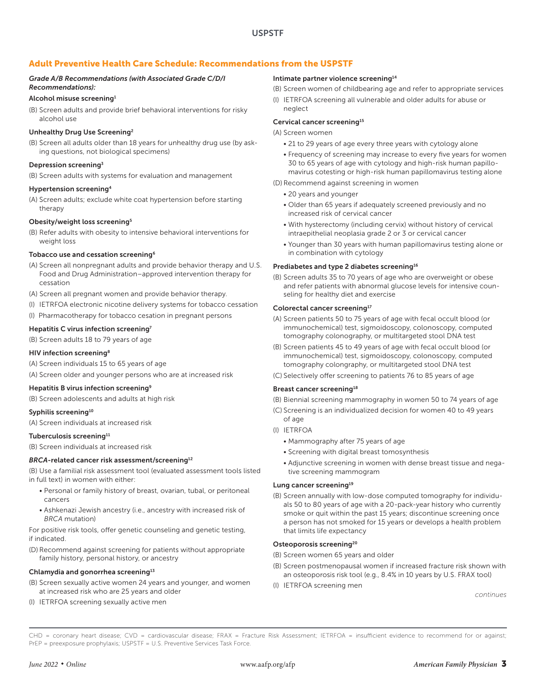# Adult Preventive Health Care Schedule: Recommendations from the USPSTF

# *Grade A/B Recommendations (with Associated Grade C/D/I Recommendations):*

#### Alcohol misuse screening1

(B) Screen adults and provide brief behavioral interventions for risky alcohol use

#### Unhealthy Drug Use Screening2

(B) Screen all adults older than 18 years for unhealthy drug use (by asking questions, not biological specimens)

### Depression screening3

(B) Screen adults with systems for evaluation and management

#### Hypertension screening4

(A) Screen adults; exclude white coat hypertension before starting therapy

### Obesity/weight loss screening5

(B) Refer adults with obesity to intensive behavioral interventions for weight loss

# Tobacco use and cessation screening6

- (A) Screen all nonpregnant adults and provide behavior therapy and U.S. Food and Drug Administration–approved intervention therapy for cessation
- (A) Screen all pregnant women and provide behavior therapy.
- (I) IETRFOA electronic nicotine delivery systems for tobacco cessation
- (I) Pharmacotherapy for tobacco cesation in pregnant persons

#### Hepatitis C virus infection screening<sup>7</sup>

(B) Screen adults 18 to 79 years of age

#### HIV infection screening8

(A) Screen individuals 15 to 65 years of age

(A) Screen older and younger persons who are at increased risk

# Hepatitis B virus infection screening<sup>9</sup>

(B) Screen adolescents and adults at high risk

### Syphilis screening<sup>10</sup>

(A) Screen individuals at increased risk

#### Tuberculosis screening<sup>11</sup>

(B) Screen individuals at increased risk

### *BRCA-related cancer risk assessment/screening<sup>12</sup>*

(B) Use a familial risk assessment tool (evaluated assessment tools listed in full text) in women with either:

- Personal or family history of breast, ovarian, tubal, or peritoneal cancers
- Ashkenazi Jewish ancestry (i.e., ancestry with increased risk of *BRCA* mutation)

For positive risk tools, offer genetic counseling and genetic testing, if indicated.

(D) Recommend against screening for patients without appropriate family history, personal history, or ancestry

### Chlamydia and gonorrhea screening<sup>13</sup>

- (B) Screen sexually active women 24 years and younger, and women at increased risk who are 25 years and older
- (I) IETRFOA screening sexually active men

#### Intimate partner violence screening<sup>14</sup>

- (B) Screen women of childbearing age and refer to appropriate services
- (I) IETRFOA screening all vulnerable and older adults for abuse or neglect

### Cervical cancer screening<sup>15</sup>

(A) Screen women

- 21 to 29 years of age every three years with cytology alone
- Frequency of screening may increase to every five years for women 30 to 65 years of age with cytology and high-risk human papillomavirus cotesting or high-risk human papillomavirus testing alone

#### (D) Recommend against screening in women

- 20 years and younger
- Older than 65 years if adequately screened previously and no increased risk of cervical cancer
- With hysterectomy (including cervix) without history of cervical intraepithelial neoplasia grade 2 or 3 or cervical cancer
- Younger than 30 years with human papillomavirus testing alone or in combination with cytology

#### Prediabetes and type 2 diabetes screening<sup>16</sup>

(B) Screen adults 35 to 70 years of age who are overweight or obese and refer patients with abnormal glucose levels for intensive counseling for healthy diet and exercise

#### Colorectal cancer screening<sup>17</sup>

- (A) Screen patients 50 to 75 years of age with fecal occult blood (or immunochemical) test, sigmoidoscopy, colonoscopy, computed tomography colonography, or multitargeted stool DNA test
- (B) Screen patients 45 to 49 years of age with fecal occult blood (or immunochemical) test, sigmoidoscopy, colonoscopy, computed tomography colongraphy, or multitargeted stool DNA test

(C) Selectively offer screening to patients 76 to 85 years of age

# Breast cancer screening<sup>18</sup>

(B) Biennial screening mammography in women 50 to 74 years of age

- (C) Screening is an individualized decision for women 40 to 49 years
- of age (I) IETRFOA
	-
	- Mammography after 75 years of age
	- Screening with digital breast tomosynthesis
	- Adjunctive screening in women with dense breast tissue and negative screening mammogram

# Lung cancer screening<sup>19</sup>

(B) Screen annually with low-dose computed tomography for individuals 50 to 80 years of age with a 20-pack-year history who currently smoke or quit within the past 15 years; discontinue screening once a person has not smoked for 15 years or develops a health problem that limits life expectancy

### Osteoporosis screening<sup>20</sup>

- (B) Screen women 65 years and older
- (B) Screen postmenopausal women if increased fracture risk shown with an osteoporosis risk tool (e.g., 8.4% in 10 years by U.S. FRAX tool)
- (I) IETRFOA screening men

*continues*

CHD = coronary heart disease; CVD = cardiovascular disease; FRAX = Fracture Risk Assessment; IETRFOA = insufficient evidence to recommend for or against; PrEP = preexposure prophylaxis; USPSTF = U.S. Preventive Services Task Force.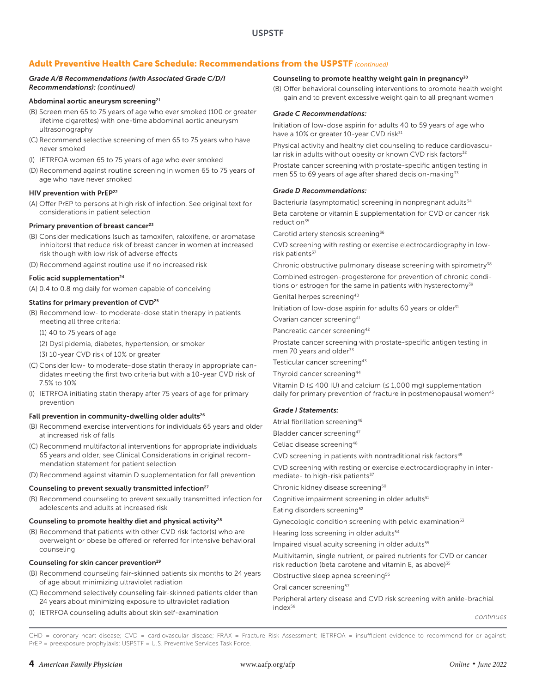# Adult Preventive Health Care Schedule: Recommendations from the USPSTF *(continued)*

### *Grade A/B Recommendations (with Associated Grade C/D/I Recommendations): (continued)*

#### Abdominal aortic aneurysm screening<sup>21</sup>

- (B) Screen men 65 to 75 years of age who ever smoked (100 or greater lifetime cigarettes) with one-time abdominal aortic aneurysm ultrasonography
- (C) Recommend selective screening of men 65 to 75 years who have never smoked
- (I) IETRFOA women 65 to 75 years of age who ever smoked
- (D) Recommend against routine screening in women 65 to 75 years of age who have never smoked

### HIV prevention with PrEP<sup>22</sup>

(A) Offer PrEP to persons at high risk of infection. See original text for considerations in patient selection

#### Primary prevention of breast cancer<sup>23</sup>

- (B) Consider medications (such as tamoxifen, raloxifene, or aromatase inhibitors) that reduce risk of breast cancer in women at increased risk though with low risk of adverse effects
- (D) Recommend against routine use if no increased risk

### Folic acid supplementation<sup>24</sup>

(A) 0.4 to 0.8 mg daily for women capable of conceiving

#### Statins for primary prevention of CVD<sup>25</sup>

- (B) Recommend low- to moderate-dose statin therapy in patients meeting all three criteria:
	- (1) 40 to 75 years of age
	- (2) Dyslipidemia, diabetes, hypertension, or smoker
	- (3) 10-year CVD risk of 10% or greater
- (C) Consider low- to moderate-dose statin therapy in appropriate candidates meeting the first two criteria but with a 10-year CVD risk of 7.5% to 10%
- (I) IETRFOA initiating statin therapy after 75 years of age for primary prevention

#### Fall prevention in community-dwelling older adults<sup>26</sup>

- (B) Recommend exercise interventions for individuals 65 years and older at increased risk of falls
- (C) Recommend multifactorial interventions for appropriate individuals 65 years and older; see Clinical Considerations in original recommendation statement for patient selection
- (D) Recommend against vitamin D supplementation for fall prevention

### Counseling to prevent sexually transmitted infection<sup>27</sup>

(B) Recommend counseling to prevent sexually transmitted infection for adolescents and adults at increased risk

#### Counseling to promote healthy diet and physical activity<sup>28</sup>

(B) Recommend that patients with other CVD risk factor(s) who are overweight or obese be offered or referred for intensive behavioral counseling

#### Counseling for skin cancer prevention<sup>29</sup>

- (B) Recommend counseling fair-skinned patients six months to 24 years of age about minimizing ultraviolet radiation
- (C) Recommend selectively counseling fair-skinned patients older than 24 years about minimizing exposure to ultraviolet radiation
- (I) IETRFOA counseling adults about skin self-examination

#### Counseling to promote healthy weight gain in pregnancy<sup>30</sup>

(B) Offer behavioral counseling interventions to promote health weight gain and to prevent excessive weight gain to all pregnant women

### *Grade C Recommendations:*

Initiation of low-dose aspirin for adults 40 to 59 years of age who have a 10% or greater 10-year CVD risk<sup>31</sup>

Physical activity and healthy diet counseling to reduce cardiovascular risk in adults without obesity or known CVD risk factors<sup>32</sup>

Prostate cancer screening with prostate-specific antigen testing in men 55 to 69 years of age after shared decision-making<sup>33</sup>

#### *Grade D Recommendations:*

Bacteriuria (asymptomatic) screening in nonpregnant adults<sup>34</sup>

Beta carotene or vitamin E supplementation for CVD or cancer risk reduction<sup>35</sup>

Carotid artery stenosis screening<sup>36</sup>

CVD screening with resting or exercise electrocardiography in lowrisk patients<sup>37</sup>

Chronic obstructive pulmonary disease screening with spirometry<sup>38</sup>

Combined estrogen-progesterone for prevention of chronic conditions or estrogen for the same in patients with hysterectomy<sup>39</sup>

Genital herpes screening<sup>40</sup>

Initiation of low-dose aspirin for adults 60 years or older<sup>31</sup>

Ovarian cancer screening41

Pancreatic cancer screening<sup>42</sup>

Prostate cancer screening with prostate-specific antigen testing in men 70 years and older<sup>33</sup>

Testicular cancer screening<sup>43</sup>

Thyroid cancer screening44

Vitamin D ( $\leq 400$  IU) and calcium ( $\leq 1,000$  mg) supplementation daily for primary prevention of fracture in postmenopausal women<sup>45</sup>

#### *Grade I Statements:*

Atrial fibrillation screening<sup>46</sup>

Bladder cancer screening<sup>47</sup>

Celiac disease screening48

CVD screening in patients with nontraditional risk factors<sup>49</sup>

CVD screening with resting or exercise electrocardiography in intermediate- to high-risk patients<sup>37</sup>

Chronic kidney disease screening<sup>50</sup>

Cognitive impairment screening in older adults<sup>51</sup>

Eating disorders screening<sup>52</sup>

Gynecologic condition screening with pelvic examination<sup>53</sup>

Hearing loss screening in older adults<sup>54</sup>

Impaired visual acuity screening in older adults<sup>55</sup>

Multivitamin, single nutrient, or paired nutrients for CVD or cancer risk reduction (beta carotene and vitamin E, as above) $35$ 

Obstructive sleep apnea screening<sup>56</sup>

Oral cancer screening<sup>57</sup>

Peripheral artery disease and CVD risk screening with ankle-brachial index<sup>58</sup>

CHD = coronary heart disease; CVD = cardiovascular disease; FRAX = Fracture Risk Assessment; IETRFOA = insufficient evidence to recommend for or against; PrEP = preexposure prophylaxis; USPSTF = U.S. Preventive Services Task Force.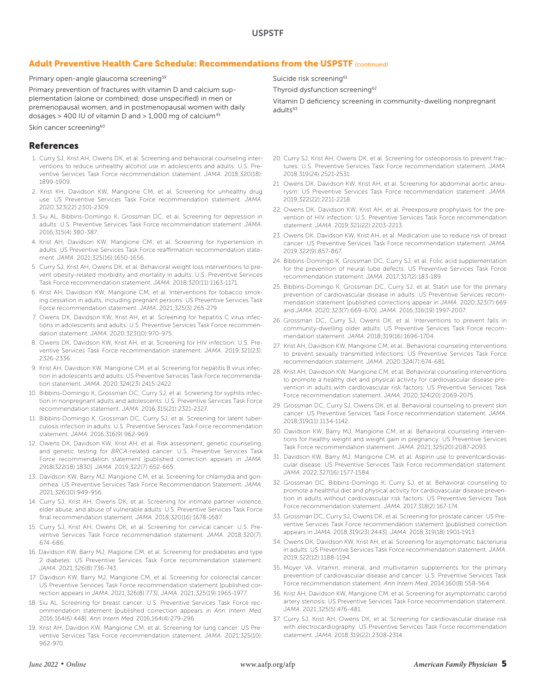# Adult Preventive Health Care Schedule: Recommendations from the USPSTF *(continued)*

Primary open-angle glaucoma screening<sup>59</sup>

Primary prevention of fractures with vitamin D and calcium supplementation (alone or combined; dose unspecified) in men or premenopausal women, and in postmenopausal women with daily dosages > 400 IU of vitamin D and > 1,000 mg of calcium45

Skin cancer screening<sup>60</sup>

### References

- 1. Curry SJ, Krist AH, Owens DK, et al. Screening and behavioral counseling interventions to reduce unhealthy alcohol use in adolescents and adults: U.S. Preventive Services Task Force recommendation statement. *JAMA*. 2018;320(18): 1899-1909.
- 2. Krist KH, Davidson KW, Mangione CM, et al. Screening for unhealthy drug use: US Preventive Services Task Force recommendation statement. *JAMA*. 2020;323(22):2301-2309.
- 3. Siu AL, Bibbins-Domingo K, Grossman DC, et al. Screening for depression in adults: U.S. Preventive Services Task Force recommendation statement. *JAMA.* 2016;315(4):380-387.
- 4. Krist AH, Davidson KW, Mangione CM, et al. Screening for hypertension in adults: US Preventive Services Task Force reaffirmation recommendation statement. *JAMA*. 2021;325(16):1650-1656.
- 5. Curry SJ, Krist AH, Owens DK, et al. Behavioral weight loss interventions to prevent obesity-related morbidity and mortality in adults: U.S. Preventive Services Task Force recommendation statement. *JAMA*. 2018;320(11):1163-1171.
- 6. Krist AH, Davidson KW, Mangione CM, et al. Interventions for tobacco smoking cessation in adults, including pregnant persons: US Preventive Services Task Force recommendation statement. *JAMA*. 2021;325(3):265-279.
- 7. Owens DK, Davidson KW, Krist AH, et al. Screening for hepatitis C virus infections in adolescents and adults: U.S. Preventive Services Task Force recommendation statement. *JAMA*. 2020;323(10):970-975.
- 8. Owens DK, Davidson KW, Krist AH, et al. Screening for HIV infection: U.S. Preventive Services Task Force recommendation statement. *JAMA.* 2019;321(23): 2326-2336.
- 9. Krist AH, Davidson KW, Mangione CM, et al. Screening for hepatitis B virus infection in adolescents and adults: US Preventive Services Task Force recommendation statement. *JAMA*. 2020;324(23):2415-2422.
- 10. Bibbins-Domingo K, Grossman DC, Curry SJ, et al. Screening for syphilis infection in nonpregnant adults and adolescents: U.S. Preventive Services Task Force recommendation statement. *JAMA*. 2016;315(21):2321-2327.
- 11. Bibbins-Domingo K, Grossman DC, Curry SJ, et al. Screening for latent tuberculosis infection in adults: U.S. Preventive Services Task Force recommendation statement. *JAMA*. 2016;316(9):962-969.
- 12. Owens DK, Davidson KW, Krist AH, et al. Risk assessment, genetic counseling, and genetic testing for *BRCA*-related cancer: U.S. Preventive Services Task Force recommendation statement [published correction appears in *JAMA*. 2918l322(18):1830]. *JAMA*. 2019;322(7):652-665.
- 13. Davidson KW, Barry MJ, Mangione CM, et al. Screening for chlamydia and gonorrhea: US Preventive Services Task Force Recommendation Statement. *JAMA*. 2021;326(10):949-956.
- 14. Curry SJ, Krist AH, Owens DK, et al. Screening for intimate partner violence, elder abuse, and abuse of vulnerable adults: U.S. Preventive Services Task Force final recommendation statement. *JAMA.* 2018;320(16):1678-1687.
- 15. Curry SJ, Krist AH, Owens DK, et al. Screening for cervical cancer: U.S. Preventive Services Task Force recommendation statement. *JAMA.* 2018;320(7): 674-686.
- 16. Davidson KW, Barry MJ, Magione CM, et al. Screening for prediabetes and type 2 diabetes: US Preventive Services Task Force recommendation statement. *JAMA.* 2021;326(8):736-743.
- 17. Davidson KW, Barry MJ, Mangione CM, et al. Screening for colorectal cancer: US Preventive Services Task Force recommendation statement [published correction appears in *JAMA*. 2021;326(8):773]. *JAMA*. 2021;325(19):1965-1977.
- 18. Siu AL. Screening for breast cancer: U.S. Preventive Services Task Force recommendation statement [published correction appears in *Ann Intern Med*. 2016;164(6):448]. *Ann Intern Med*. 2016;164(4):279-296.
- 19. Krist AH, Davidon KW, Mangione CM, et al. Screening for lung cancer: US Preventive Services Task Force recommendation statement. *JAMA.* 2021;325(10): 962-970.

Suicide risk screening<sup>61</sup>

Thyroid dysfunction screening<sup>62</sup>

Vitamin D deficiency screening in community-dwelling nonpregnant adult $\epsilon$ <sup>63</sup>

- 20. Curry SJ, Krist AH, Owens DK, et al. Screening for osteoporosis to prevent fractures: U.S. Preventive Services Task Force recommendation statement. *JAMA*. 2018;319(24):2521-2531.
- 21. Owens DK, Davidson KW, Krist AH, et al. Screening for abdominal aortic aneurysm: US Preventive Services Task Force recommendation statement. *JAMA*. 2019;322(22):2211-2218.
- 22. Owens DK, Davidson KW, Krist AH, et al. Preexposure prophylaxis for the prevention of HIV infection: U.S. Preventive Services Task Force recommendation statement. *JAMA*. 2019;321(22):2203-2213.
- 23. Owens DK, Davidson KW, Krist AH, et al. Medication use to reduce risk of breast cancer: US Preventive Services Task Force recommendation statement. *JAMA.*  2019;322(9):857-867.
- 24. Bibbins-Domingo K, Grossman DC, Curry SJ, et al. Folic acid supplementation for the prevention of neural tube defects: US Preventive Services Task Force recommendation statement. *JAMA*. 2017;317(2):183-189.
- 25. Bibbins-Domingo K, Grossman DC, Curry SJ, et al. Statin use for the primary prevention of cardiovascular disease in adults: US Preventive Services recommendation statement [published corrections appear in *JAMA*. 2020;323(7):669 and *JAMA*. 2020;323(7):669-670]. *JAMA*. 2016;316(19):1997-2007.
- 26. Grossman DC, Curry SJ, Owens DK, et al. Interventions to prevent falls in community-dwelling older adults: US Preventive Services Task Force recommendation statement. *JAMA*. 2018;319(16):1696-1704.
- 27. Krist AH, Davidson KW, Mangione CM, et al.. Behavioral counseling interventions to prevent sexually transmitted infections: US Preventive Services Task Force recommendation statement. *JAMA.* 2020;324(7):674-681.
- 28. Krist AH, Davidson KW, Mangione CM, et al. Behavioral counseling interventions to promote a healthy diet and physical activity for cardiovascular disease prevention in adults with cardiovascular risk factors: US Preventive Services Task Force recommendation statement. *JAMA*. 2020;324(20):2069-2075.
- 29. Grossman DC, Curry SJ, Owens DK, et al. Behavioral counseling to prevent skin cancer: US Preventive Services Task Force recommendation statement. *JAMA*. 2018;319(11):1134-1142.
- 30. Davidson KW, Barry MJ, Mangione CM, et al. Behavioral counseling interventions for healthy weight and weight gain in pregnancy: US Preventive Services Task Force recommendation statement. *JAMA*. 2021;325(20):2087-2093.
- 31. Davidson KW, Barry MJ, Mangione CM, et al. Aspirin use to preventcardiovascular disease: US Preventive Services Task Force recommendation statement. *JAMA*. 2022;327(16):1577-1584.
- 32. Grossman DC, Bibbins-Domingo K, Curry SJ, et al. Behavioral counseling to promote a healthful diet and physical activity for cardiovascular disease prevention in adults without cardiovascular risk factors: US Preventive Services Task Force recommendation statement. *JAMA*. 2017;318(2):167-174.
- 33. Grossman DC, Curry SJ, Owens DK, et al. Screening for prostate cancer: US Preventive Services Task Force recommendation statement [published correction appears in *JAMA*. 2018;319(23):2443]. *JAMA*. 2018;319(18):1901-1913.
- 34. Owens DK, Davidson KW, Krist AH, et al. Screening for asymptomatic bacteriuria in adults: US Preventive Services Task Force recommendation statement. *JAMA*. 2019;322(12):1188-1194.
- 35. Moyer VA. Vitamin, mineral, and multivitamin supplements for the primary prevention of cardiovascular disease and cancer: U.S. Preventive Services Task Force recommendation statement. *Ann Intern Med*. 2014;160(8):558-564.
- 36. Krist AH, Davidson KW, Mangione CM, et al. Screening for asymptomatic carotid artery stenosis: US Preventive Services Task Force recommendation statement. *JAMA*. 2021;325(5):476-481.
- 37. Curry SJ, Krist AH, Owens DK, et al. Screening for cardiovascular disease risk with electrocardiography: US Preventive Services Task Force recommendation statement. *JAMA*. 2018;319(22):2308-2314.